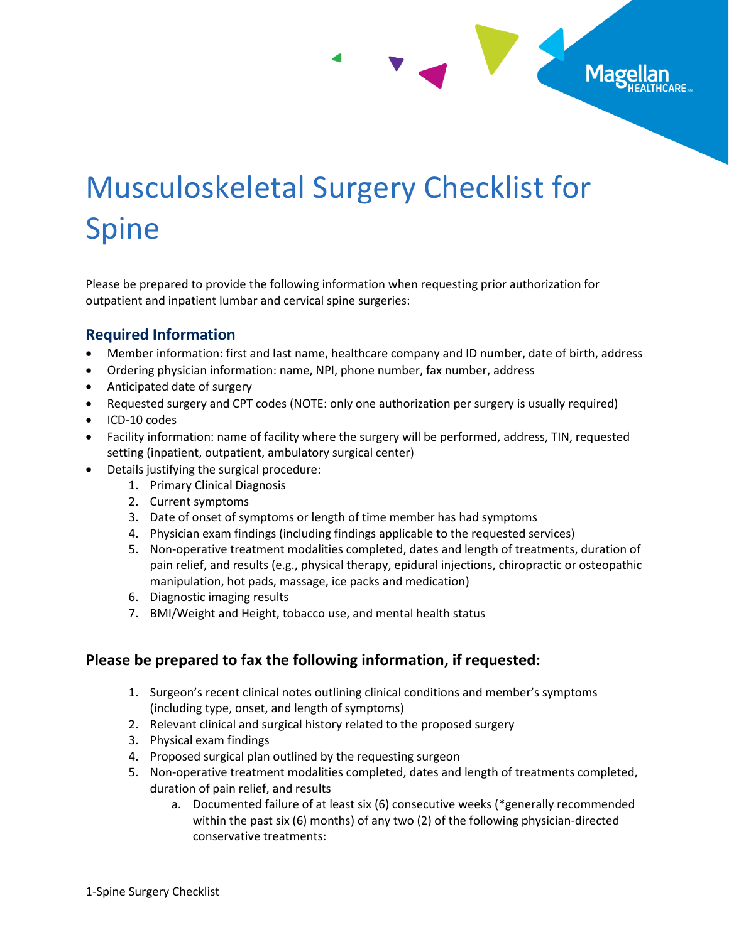## Musculoskeletal Surgery Checklist for Spine

Mage

Please be prepared to provide the following information when requesting prior authorization for outpatient and inpatient lumbar and cervical spine surgeries:

## **Required Information**

- Member information: first and last name, healthcare company and ID number, date of birth, address
- Ordering physician information: name, NPI, phone number, fax number, address
- Anticipated date of surgery
- Requested surgery and CPT codes (NOTE: only one authorization per surgery is usually required)
- ICD-10 codes
- Facility information: name of facility where the surgery will be performed, address, TIN, requested setting (inpatient, outpatient, ambulatory surgical center)
- Details justifying the surgical procedure:
	- 1. Primary Clinical Diagnosis
	- 2. Current symptoms
	- 3. Date of onset of symptoms or length of time member has had symptoms
	- 4. Physician exam findings (including findings applicable to the requested services)
	- 5. Non-operative treatment modalities completed, dates and length of treatments, duration of pain relief, and results (e.g., physical therapy, epidural injections, chiropractic or osteopathic manipulation, hot pads, massage, ice packs and medication)
	- 6. Diagnostic imaging results
	- 7. BMI/Weight and Height, tobacco use, and mental health status

## **Please be prepared to fax the following information, if requested:**

- 1. Surgeon's recent clinical notes outlining clinical conditions and member's symptoms (including type, onset, and length of symptoms)
- 2. Relevant clinical and surgical history related to the proposed surgery
- 3. Physical exam findings
- 4. Proposed surgical plan outlined by the requesting surgeon
- 5. Non-operative treatment modalities completed, dates and length of treatments completed, duration of pain relief, and results
	- a. Documented failure of at least six (6) consecutive weeks (\*generally recommended within the past six (6) months) of any two (2) of the following physician-directed conservative treatments: